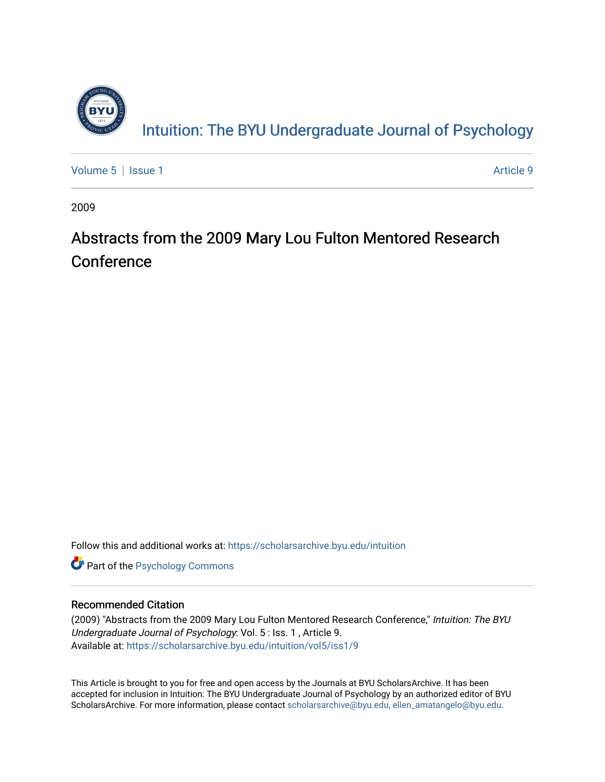

[Volume 5](https://scholarsarchive.byu.edu/intuition/vol5) | [Issue 1](https://scholarsarchive.byu.edu/intuition/vol5/iss1) Article 9

2009

## Abstracts from the 2009 Mary Lou Fulton Mentored Research Conference

Follow this and additional works at: [https://scholarsarchive.byu.edu/intuition](https://scholarsarchive.byu.edu/intuition?utm_source=scholarsarchive.byu.edu%2Fintuition%2Fvol5%2Fiss1%2F9&utm_medium=PDF&utm_campaign=PDFCoverPages) 

**Part of the Psychology Commons** 

#### Recommended Citation

(2009) "Abstracts from the 2009 Mary Lou Fulton Mentored Research Conference," Intuition: The BYU Undergraduate Journal of Psychology: Vol. 5 : Iss. 1 , Article 9. Available at: [https://scholarsarchive.byu.edu/intuition/vol5/iss1/9](https://scholarsarchive.byu.edu/intuition/vol5/iss1/9?utm_source=scholarsarchive.byu.edu%2Fintuition%2Fvol5%2Fiss1%2F9&utm_medium=PDF&utm_campaign=PDFCoverPages)

This Article is brought to you for free and open access by the Journals at BYU ScholarsArchive. It has been accepted for inclusion in Intuition: The BYU Undergraduate Journal of Psychology by an authorized editor of BYU ScholarsArchive. For more information, please contact [scholarsarchive@byu.edu, ellen\\_amatangelo@byu.edu.](mailto:scholarsarchive@byu.edu,%20ellen_amatangelo@byu.edu)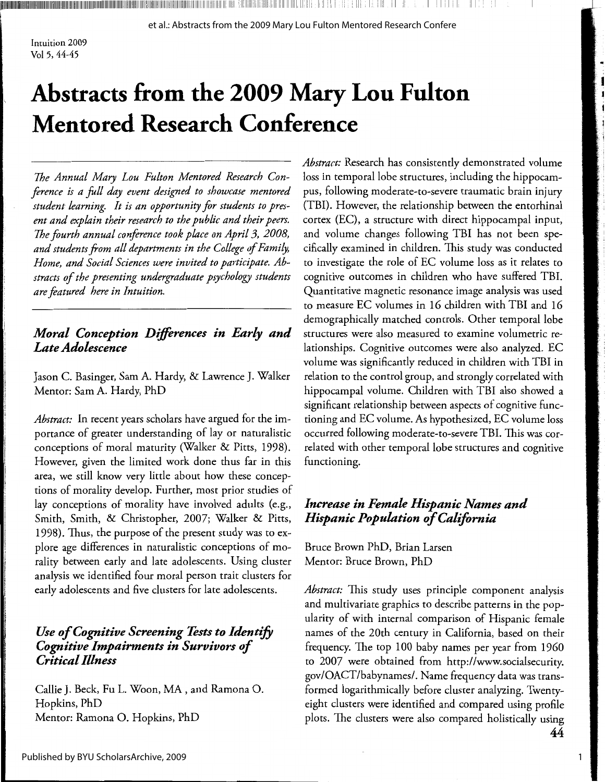Intuition 2009 Vol 5, 44-45

# **Abstracts from the 2009 Mary Lou Fulton Mentored Research Conference**

**ANDIAN AND AN DESCRIPTION AND AN ANTIQUES IN A RELEASED ON A RELEASED ON A RELEASED ON A RELEASED ON A RELEASED ON A** 

*The Annual Mary Lou Fulton Mentored Research Conference is a full day event designed to showcase mentored student learning. It is an opportunity for students to present and explain their research to the public and their peers. The fourth annual conference took place on April 3, 2008, and students from all departments in the College of Family, Home, and Social Sciences were invited to participate. Abstracts of the presenting undergraduate psychology students are featured here in Intuition.* 

#### *Moral Conception Differences in Early and Late Adolescence*

Jason C. Basinger, Sam A. Hardy, & Lawrence J. Walker Mentor: Sam A. Hardy, PhD

*Abstract:* In recent years scholars have argued for the importance of greater understanding of lay or naturalistic conceptions of moral maturity (Walker & Pitts, 1998). However, given the limited work done thus far in this area, we still know very little about how these conceptions of morality develop. Further, most prior studies of lay conceptions of morality have involved adults (e.g., Smith, Smith, & Christopher, 2007; Walker & Pitts, 1998). Thus, the purpose of the present study was to explore age differences in naturalistic conceptions of morality between early and late adolescents. Using cluster analysis we identified four moral person trait clusters for early adolescents and five clusters for late adolescents.

#### *Use of Cognitive Screening Tests to Identify Cognitive Impairments in Survivors of Critical Illness*

Callie J. Beck, Fu L. Woon, MA, and Ramona 0. Hopkins, PhD Mentor: Ramona 0. Hopkins, PhD

*Abstract:* Research has consistently demonstrated volume loss in temporal lobe structures, including the hippocampus, following moderate-to-severe traumatic brain injury (TBI). However, the relationship between the entorhinal cortex (EC), a structure with direct hippocampal input, and volume changes following TBI has not been specifically examined in children. This study was conducted to investigate the role of EC volume loss as it relates to cognitive outcomes in children who have suffered TBI. Quantitative magnetic resonance image analysis was used to measure EC volumes in 16 children with TBI and 16 demographically matched controls. Other temporal lobe structures were also measured to examine volumetric relationships. Cognitive outcomes were also analyzed. EC volume was significantly reduced in children with TBI in relation to the control group, and strongly correlated with hippocampal volume. Children with TBI also showed a significant relationship between aspects of cognitive functioning and EC volume. As hypothesized, EC volume loss occurred following moderate-to-severe TBI. This was correlated with other temporal lobe structures and cognitive functioning.

#### *Increase in Female Hispanic Names and Hispanic Population of California*

Bruce Brown PhD, Brian Larsen Mentor: Bruce Brown, PhD

*Abstract:* This study uses principle component analysis and multivariate graphics to describe patterns in the popularity of with internal comparison of Hispanic female names of the 20th century in California, based on their frequency. The top 100 baby names per year from 1960 to 2007 were obtained from http:/ /www.socialsecurity. gov/OACT/babynames/. Name frequency data was transformed logarithmically before cluster analyzing. Twentyeight clusters were identified and compared using profile plots. The clusters were also compared holistically using 44

1